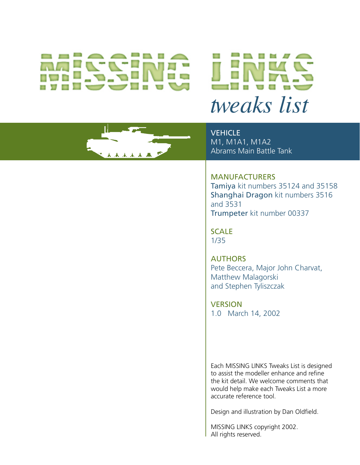# *tweaks list*



**VEHICLE** M1, M1A1, M1A2 Abrams Main Battle Tank

# MANUFACTURERS Tamiya kit numbers 35124 and 35158 Shanghai Dragon kit numbers 3516

and 3531 Trumpeter kit number 00337

SCALE 1/35

**AUTHORS** Pete Beccera, Major John Charvat, Matthew Malagorski and Stephen Tyliszczak

**VERSION** 1.0 March 14, 2002

Each MISSING LINKS Tweaks List is designed to assist the modeller enhance and refine the kit detail. We welcome comments that would help make each Tweaks List a more accurate reference tool.

Design and illustration by Dan Oldfield.

MISSING LINKS copyright 2002. All rights reserved.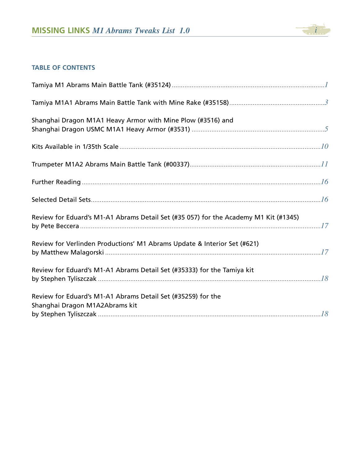

# **TABLE OF CONTENTS**

| Shanghai Dragon M1A1 Heavy Armor with Mine Plow (#3516) and                                    |  |
|------------------------------------------------------------------------------------------------|--|
|                                                                                                |  |
|                                                                                                |  |
|                                                                                                |  |
|                                                                                                |  |
| Review for Eduard's M1-A1 Abrams Detail Set (#35 057) for the Academy M1 Kit (#1345)           |  |
| Review for Verlinden Productions' M1 Abrams Update & Interior Set (#621)                       |  |
| Review for Eduard's M1-A1 Abrams Detail Set (#35333) for the Tamiya kit                        |  |
| Review for Eduard's M1-A1 Abrams Detail Set (#35259) for the<br>Shanghai Dragon M1A2Abrams kit |  |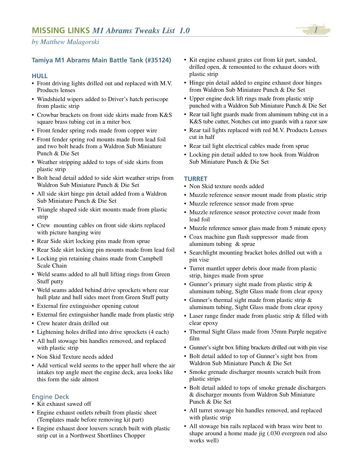## **Tamiya M1 Abrams Main Battle Tank (#35124)**

#### **HULL**

- Front driving lights drilled out and replaced with M.V. Products lenses
- Windshield wipers added to Driver's hatch periscope from plastic strip
- Crowbar brackets on front side skirts made from K&S square brass tubing cut in a miter box
- Front fender spring rods made from copper wire
- Front fender spring rod mounts made from lead foil and two bolt heads from a Waldron Sub Miniature Punch & Die Set
- Weather stripping added to tops of side skirts from plastic strip
- Bolt head detail added to side skirt weather strips from Waldron Sub Miniature Punch & Die Set
- All side skirt hinge pin detail added from a Waldron Sub Miniature Punch & Die Set
- Triangle shaped side skirt mounts made from plastic strip
- Crew mounting cables on front side skirts replaced with picture hanging wire
- Rear Side skirt locking pins made from sprue
- Rear Side skirt locking pin mounts made from lead foil
- Locking pin retaining chains made from Campbell Scale Chain
- Weld seams added to all hull lifting rings from Green Stuff putty
- Weld seams added behind drive sprockets where rear hull plate and hull sides meet from Green Stuff putty
- External fire extinguisher opening cutout
- External fire extinguisher handle made from plastic strip
- Crew heater drain drilled out
- Lightening holes drilled into drive sprockets (4 each)
- All hull stowage bin handles removed, and replaced with plastic strip
- Non Skid Texture needs added
- Add vertical weld seems to the upper hull where the air intakes top angle meet the engine deck, area looks like this form the side almost

#### Engine Deck

- Kit exhaust sawed off
- Engine exhaust outlets rebuilt from plastic sheet (Templates made before removing kit part)
- Engine exhaust door louvers scratch built with plastic strip cut in a Northwest Shortlines Chopper
- Kit engine exhaust grates cut from kit part, sanded, drilled open, & remounted to the exhaust doors with plastic strip
- Hinge pin detail added to engine exhaust door hinges from Waldron Sub Miniature Punch & Die Set
- Upper engine deck lift rings made from plastic strip punched with a Waldron Sub Miniature Punch & Die Set
- Rear tail light guards made from aluminum tubing cut in a K&S tube cutter, Notches cut into guards with a razor saw
- Rear tail lights replaced with red M.V. Products Lenses cut in half
- Rear tail light electrical cables made from sprue
- Locking pin detail added to tow hook from Waldron Sub Miniature Punch & Die Set

#### **TURRET**

- Non Skid texture needs added
- Muzzle reference sensor mount made from plastic strip
- Muzzle reference sensor made from sprue
- Muzzle reference sensor protective cover made from lead foil
- Muzzle reference sensor glass made from 5 minute epoxy
- Coax machine gun flash suppressor made from aluminum tubing & sprue
- Searchlight mounting bracket holes drilled out with a pin vise
- Turret mantlet upper debris door made from plastic strip, hinges made from sprue
- Gunner's primary sight made from plastic strip & aluminum tubing, Sight Glass made from clear epoxy
- Gunner's thermal sight made from plastic strip & aluminum tubing, Sight Glass made from clear epoxy
- Laser range finder made from plastic strip & filled with clear epoxy
- Thermal Sight Glass made from 35mm Purple negative film
- Gunner's sight box lifting brackets drilled out with pin vise
- Bolt detail added to top of Gunner's sight box from Waldron Sub Miniature Punch & Die Set
- Smoke grenade discharger mounts scratch built from plastic strips
- Bolt detail added to tops of smoke grenade dischargers & discharger mounts from Waldron Sub Miniature Punch & Die Set
- All turret stowage bin handles removed, and replaced with plastic strip
- All stowage bin rails replaced with brass wire bent to shape around a home made jig (.030 evergreen rod also works well)

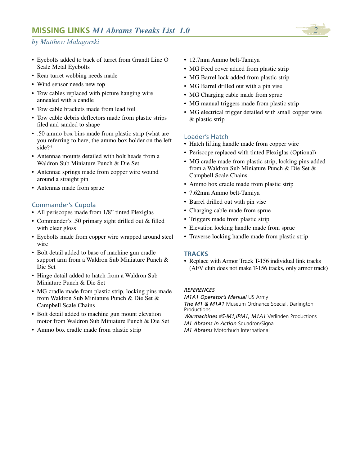- Eyebolts added to back of turret from Grandt Line O Scale Metal Eyebolts
- Rear turret webbing needs made
- Wind sensor needs new top
- Tow cables replaced with picture hanging wire annealed with a candle
- Tow cable brackets made from lead foil
- Tow cable debris deflectors made from plastic strips filed and sanded to shape
- .50 ammo box bins made from plastic strip (what are you referring to here, the ammo box holder on the left side?\*
- Antennae mounts detailed with bolt heads from a Waldron Sub Miniature Punch & Die Set
- Antennae springs made from copper wire wound around a straight pin
- Antennas made from sprue

# Commander's Cupola

- All periscopes made from 1/8" tinted Plexiglas
- Commander's .50 primary sight drilled out & filled with clear gloss
- Eyebolts made from copper wire wrapped around steel wire
- Bolt detail added to base of machine gun cradle support arm from a Waldron Sub Miniature Punch & Die Set
- Hinge detail added to hatch from a Waldron Sub Miniature Punch & Die Set
- MG cradle made from plastic strip, locking pins made from Waldron Sub Miniature Punch & Die Set & Campbell Scale Chains
- Bolt detail added to machine gun mount elevation motor from Waldron Sub Miniature Punch & Die Set
- Ammo box cradle made from plastic strip
- 12.7mm Ammo belt-Tamiya
- MG Feed cover added from plastic strip
- MG Barrel lock added from plastic strip
- MG Barrel drilled out with a pin vise
- MG Charging cable made from sprue
- MG manual triggers made from plastic strip
- MG electrical trigger detailed with small copper wire & plastic strip

#### Loader's Hatch

- Hatch lifting handle made from copper wire
- Periscope replaced with tinted Plexiglas (Optional)
- MG cradle made from plastic strip, locking pins added from a Waldron Sub Miniature Punch & Die Set & Campbell Scale Chains
- Ammo box cradle made from plastic strip
- 7.62mm Ammo belt-Tamiya
- Barrel drilled out with pin vise
- Charging cable made from sprue
- Triggers made from plastic strip
- Elevation locking handle made from sprue
- Traverse locking handle made from plastic strip

#### **TRACKS**

• Replace with Armor Track T-156 individual link tracks (AFV club does not make T-156 tracks, only armor track)

#### *REFERENCES*

*M1A1 Operator's Manual* US Army *The M1 & M1A1* Museum Ordnance Special, Darlington **Productions** *Warmachines #5-M1,IPM1, M1A1* Verlinden Productions *M1 Abrams In Action* Squadron/Signal

*M1 Abrams* Motorbuch International

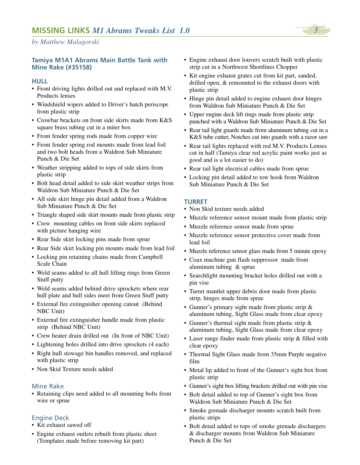#### **Tamiya M1A1 Abrams Main Battle Tank with Mine Rake (#35158)**

#### **HULL**

- Front driving lights drilled out and replaced with M.V. Products lenses
- Windshield wipers added to Driver's hatch periscope from plastic strip
- Crowbar brackets on front side skirts made from K&S square brass tubing cut in a miter box
- Front fender spring rods made from copper wire
- Front fender spring rod mounts made from lead foil and two bolt heads from a Waldron Sub Miniature Punch & Die Set
- Weather stripping added to tops of side skirts from plastic strip
- Bolt head detail added to side skirt weather strips from Waldron Sub Miniature Punch & Die Set
- All side skirt hinge pin detail added from a Waldron Sub Miniature Punch & Die Set
- Triangle shaped side skirt mounts made from plastic strip
- Crew mounting cables on front side skirts replaced with picture hanging wire
- Rear Side skirt locking pins made from sprue
- Rear Side skirt locking pin mounts made from lead foil
- Locking pin retaining chains made from Campbell Scale Chain
- Weld seams added to all hull lifting rings from Green Stuff putty
- Weld seams added behind drive sprockets where rear hull plate and hull sides meet from Green Stuff putty
- External fire extinguisher opening cutout (Behind NBC Unit)
- External fire extinguisher handle made from plastic strip (Behind NBC Unit)
- Crew heater drain drilled out (In front of NBC Unit)
- Lightening holes drilled into drive sprockets (4 each)
- Right hull stowage bin handles removed, and replaced with plastic strip
- Non Skid Texture needs added

#### Mine Rake

• Retaining clips need added to all mounting bolts from wire or sprue

#### Engine Deck

- Kit exhaust sawed off
- Engine exhaust outlets rebuilt from plastic sheet (Templates made before removing kit part)
- Engine exhaust door louvers scratch built with plastic strip cut in a Northwest Shortlines Chopper
- Kit engine exhaust grates cut from kit part, sanded, drilled open, & remounted to the exhaust doors with plastic strip
- Hinge pin detail added to engine exhaust door hinges from Waldron Sub Miniature Punch & Die Set
- Upper engine deck lift rings made from plastic strip punched with a Waldron Sub Miniature Punch & Die Set
- Rear tail light guards made from aluminum tubing cut in a K&S tube cutter, Notches cut into guards with a razor saw
- Rear tail lights replaced with red M.V. Products Lenses cut in half (Tamiya clear red acrylic paint works just as good and is a lot easier to do)
- Rear tail light electrical cables made from sprue
- Locking pin detail added to tow hook from Waldron Sub Miniature Punch & Die Set

#### **TURRET**

- Non Skid texture needs added
- Muzzle reference sensor mount made from plastic strip
- Muzzle reference sensor made from sprue
- Muzzle reference sensor protective cover made from lead foil
- Muzzle reference sensor glass made from 5 minute epoxy
- Coax machine gun flash suppressor made from aluminum tubing & sprue
- Searchlight mounting bracket holes drilled out with a pin vise
- Turret mantlet upper debris door made from plastic strip, hinges made from sprue
- Gunner's primary sight made from plastic strip & aluminum tubing, Sight Glass made from clear epoxy
- Gunner's thermal sight made from plastic strip & aluminum tubing, Sight Glass made from clear epoxy
- Laser range finder made from plastic strip & filled with clear epoxy
- Thermal Sight Glass made from 35mm Purple negative film
- Metal lip added to front of the Gunner's sight box from plastic strip
- Gunner's sight box lifting brackets drilled out with pin vise
- Bolt detail added to top of Gunner's sight box from Waldron Sub Miniature Punch & Die Set
- Smoke grenade discharger mounts scratch built from plastic strips
- Bolt detail added to tops of smoke grenade dischargers & discharger mounts from Waldron Sub Miniature Punch & Die Set

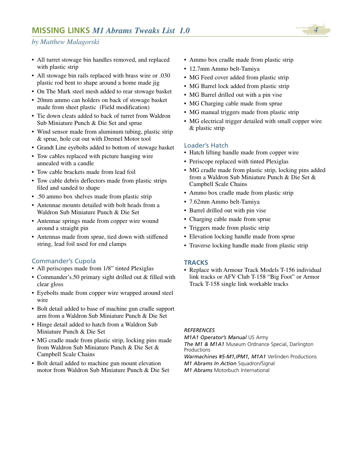- All turret stowage bin handles removed, and replaced with plastic strip
- All stowage bin rails replaced with brass wire or .030 plastic rod bent to shape around a home made jig
- On The Mark steel mesh added to rear stowage basket
- 20mm ammo can holders on back of stowage basket made from sheet plastic (Field modification)
- Tie down cleats added to back of turret from Waldron Sub Miniature Punch & Die Set and sprue
- Wind sensor made from aluminum tubing, plastic strip & sprue, hole cut out with Dremel Motor tool
- Grandt Line eyebolts added to bottom of stowage basket
- Tow cables replaced with picture hanging wire annealed with a candle
- Tow cable brackets made from lead foil
- Tow cable debris deflectors made from plastic strips filed and sanded to shape
- .50 ammo box shelves made from plastic strip
- Antennae mounts detailed with bolt heads from a Waldron Sub Miniature Punch & Die Set
- Antennae springs made from copper wire wound around a straight pin
- Antennas made from sprue, tied down with stiffened string, lead foil used for end clamps

#### Commander's Cupola

- All periscopes made from 1/8" tinted Plexiglas
- Commander's.50 primary sight drilled out & filled with clear gloss
- Eyebolts made from copper wire wrapped around steel wire
- Bolt detail added to base of machine gun cradle support arm from a Waldron Sub Miniature Punch & Die Set
- Hinge detail added to hatch from a Waldron Sub Miniature Punch & Die Set
- MG cradle made from plastic strip, locking pins made from Waldron Sub Miniature Punch & Die Set & Campbell Scale Chains
- Bolt detail added to machine gun mount elevation motor from Waldron Sub Miniature Punch & Die Set
- Ammo box cradle made from plastic strip
- 12.7mm Ammo belt-Tamiya
- MG Feed cover added from plastic strip
- MG Barrel lock added from plastic strip
- MG Barrel drilled out with a pin vise
- MG Charging cable made from sprue
- MG manual triggers made from plastic strip
- MG electrical trigger detailed with small copper wire & plastic strip

#### Loader's Hatch

- Hatch lifting handle made from copper wire
- Periscope replaced with tinted Plexiglas
- MG cradle made from plastic strip, locking pins added from a Waldron Sub Miniature Punch & Die Set & Campbell Scale Chains
- Ammo box cradle made from plastic strip
- 7.62mm Ammo belt-Tamiya
- Barrel drilled out with pin vise
- Charging cable made from sprue
- Triggers made from plastic strip
- Elevation locking handle made from sprue
- Traverse locking handle made from plastic strip

#### **TRACKS**

• Replace with Armour Track Models T-156 individual link tracks or AFV Club T-158 "Big Foot" or Armor Track T-158 single link workable tracks

#### *REFERENCES*

*M1A1 Operator's Manual* US Army

*The M1 & M1A1* Museum Ordnance Special, Darlington Productions

*Warmachines #5-M1,IPM1, M1A1* Verlinden Productions *M1 Abrams In Action* Squadron/Signal *M1 Abrams* Motorbuch International

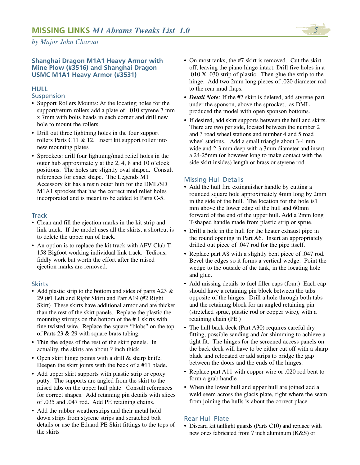#### **Shanghai Dragon M1A1 Heavy Armor with Mine Plow (#3516) and Shanghai Dragon USMC M1A1 Heavy Armor (#3531)**

# **HULL**

#### **Suspension**

- Support Rollers Mounts: At the locating holes for the support/return rollers add a plate of .010 styrene 7 mm x 7mm with bolts heads in each corner and drill new hole to mount the rollers.
- Drill out three lightning holes in the four support rollers Parts C11 & 12. Insert kit support roller into new mounting plates
- Sprockets: drill four lightning/mud relief holes in the outer hub approximately at the 2, 4, 8 and 10 o'clock positions. The holes are slightly oval shaped. Consult references for exact shape. The Legends M1 Accessory kit has a resin outer hub for the DML/SD M1A1 sprocket that has the correct mud relief holes incorporated and is meant to be added to Parts C-5.

#### **Track**

- Clean and fill the ejection marks in the kit strip and link track. If the model uses all the skirts, a shortcut is to delete the upper run of track.
- An option is to replace the kit track with AFV Club T-158 Bigfoot working individual link track. Tedious, fiddly work but worth the effort after the raised ejection marks are removed.

#### **Skirts**

- Add plastic strip to the bottom and sides of parts A23 & 29 (#1 Left and Right Skirt) and Part A19 (#2 Right Skirt) These skirts have additional armor and are thicker than the rest of the skirt panels. Replace the plastic the mounting stirrups on the bottom of the # 1 skirts with fine twisted wire. Replace the square "blobs" on the top of Parts  $23 \& 29$  with square brass tubing.
- Thin the edges of the rest of the skirt panels. In actuality, the skirts are about ? inch thick.
- Open skirt hinge points with a drill & sharp knife. Deepen the skirt joints with the back of a #11 blade.
- Add upper skirt supports with plastic strip or epoxy putty. The supports are angled from the skirt to the raised tabs on the upper hull plate. Consult references for correct shapes. Add retaining pin details with slices of .035 and .047 rod. Add PE retaining chains.
- Add the rubber weatherstrips and their metal hold down strips from styrene strips and scratched bolt details or use the Eduard PE Skirt fittings to the tops of the skirts
- On most tanks, the #7 skirt is removed. Cut the skirt off, leaving the piano hinge intact. Drill five holes in a .010 X .030 strip of plastic. Then glue the strip to the hinge. Add two 2mm long pieces of .020 diameter rod to the rear mud flaps.
- *Detail Note:* If the #7 skirt is deleted, add styrene part under the sponson, above the sprocket, as DML produced the model with open sponson bottoms.
- If desired, add skirt supports between the hull and skirts. There are two per side, located between the number 2 and 3 road wheel stations and number 4 and 5 road wheel stations. Add a small triangle about 3-4 mm wide and 2-3 mm deep with a 3mm diameter and insert a 24-25mm (or however long to make contact with the side skirt insides) length or brass or styrene rod.

## Missing Hull Details

- Add the hull fire extinguisher handle by cutting a rounded square hole approximately 4mm long by 2mm in the side of the hull. The location for the hole is1 mm above the lower edge of the hull and 60mm forward of the end of the upper hull. Add a 2mm long T-shaped handle made from plastic strip or sprue.
- Drill a hole in the hull for the heater exhaust pipe in the round opening in Part A6. Insert an appropriately drilled out piece of .047 rod for the pipe itself.
- Replace part A8 with a slightly bent piece of .047 rod. Bevel the edges so it forms a vertical wedge. Point the wedge to the outside of the tank, in the locating hole and glue.
- Add missing details to fuel filler caps (four.) Each cap should have a retaining pin block between the tabs opposite of the hinges. Drill a hole through both tabs and the retaining block for an angled retaining pin (stretched sprue, plastic rod or copper wire), with a retaining chain (PE.)
- The hull back deck (Part A30) requires careful dry fitting, possible sanding and /or shimming to achieve a tight fit. The hinges for the screened access panels on the back deck will have to be either cut off with a sharp blade and relocated or add strips to bridge the gap between the doors and the ends of the hinges.
- Replace part A11 with copper wire or .020 rod bent to form a grab handle
- When the lower hull and upper hull are joined add a weld seem across the glacis plate, right where the seam from joining the hulls is about the correct place

#### Rear Hull Plate

• Discard kit taillight guards (Parts C10) and replace with new ones fabricated from ? inch aluminum (K&S) or

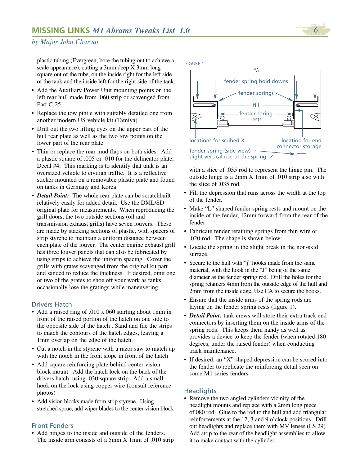plastic tubing (Evergreen, bore the tubing out to achieve a scale appearance), cutting a 3mm deep X 3mm long square out of the tube, on the inside right for the left side of the tank and the inside left for the right side of the tank.

- Add the Auxiliary Power Unit mounting points on the left rear hull made from .060 strip or scavenged from Part C-25.
- Replace the tow pintle with suitably detailed one from another modern US vehicle kit (Tamiya)
- Drill out the two lifting eyes on the upper part of the hull rear plate as well as the two tow points on the lower part of the rear plate.
- Thin or replace the rear mud flaps on both sides. Add a plastic square of .005 or .010 for the delineator plate, Decal #4. This marking is to identify that tank is an oversized vehicle to civilian traffic. It is a reflective sticker mounted on a removable plastic plate and found on tanks in Germany and Korea
- *Detail Point:* The whole rear plate can be scratchbuilt relatively easily for added detail. Use the DML/SD original plate for measurements. When reproducing the grill doors, the two outside sections (oil and transmission exhaust grills) have seven louvers. These are made by stacking sections of plastic, with spacers of strip styrene to maintain a uniform distance between each plate of the louver. The center engine exhaust grill has three louver panels that can also be fabricated by using strips to achieve the uniform spacing. Cover the grills with grates scavenged from the original kit part and sanded to reduce the thickness. If desired, omit one or two of the grates to shoe off your work as tanks occasionally lose the gratings while maneuvering.

#### Drivers Hatch

- Add a raised ring of .010 x.060 starting about 1mm in front of the raised portion of the hatch on one side to the opposite side of the hatch . Sand and file the strips to match the contours of the hatch edges, leaving a 1mm overlap on the edge of the hatch.
- Cut a notch in the styrene with a razor saw to match up with the notch in the front slope in front of the hatch
- Add square reinforcing plate behind center vision block mount. Add the hatch lock on the back of the drivers hatch, using .030 square strip. Add a small hook on the lock using copper wire (consult reference photos)
- Add vision blocks made from strip styrene. Using stretched sprue, add wiper blades to the center vision block.

#### Front Fenders

• Add hinges to the inside and outside of the fenders. The inside arm consists of a 5mm X 1mm of .010 strip



with a slice of .035 rod to represent the hinge pin. The outside hinge is a 2mm X 1mm of .010 strip also with the slice of .035 rod.

- Fill the depression that runs across the width at the top of the fender.
- Make "L" shaped fender spring rests and mount on the inside of the fender, 12mm forward from the rear of the fender
- Fabricate fender retaining springs from thin wire or .020 rod. The shape is shown below:
- Locate the spring in the slight break in the non-skid surface.
- Secure to the hull with "j" hooks made from the same material, with the hook in the "J" being of the same diameter as the fender spring rod. Drill the holes for the spring retainers 4mm from the outside edge of the hull and 2mm from the inside edge. Use CA to secure the hooks.
- Ensure that the inside arms of the spring rods are laying on the fender spring rests (figure 1).
- *Detail Point:* tank crews will store their extra track end connectors by inserting them on the inside arms of the spring rods. This keeps them handy as well as provides a device to keep the fender (when rotated 180 degrees, under the raised fender) when conducting track maintenance.
- If desired, an "X" shaped depression can be scored into the fender to replicate the reinforcing detail seen on some M1 series fenders

#### **Headlights**

• Remove the two angled cylinders vicinity of the headlight mounts and replace with a 2mm long piece of.080 rod. Glue to the rod to the hull and add triangular reinforcements at the 12, 3 and 9 o'clock positions. Drill out headlights and replace them with MV lenses (LS 29). Add strip to the rear of the headlight assemblies to allow it to make contact with the cylinder.

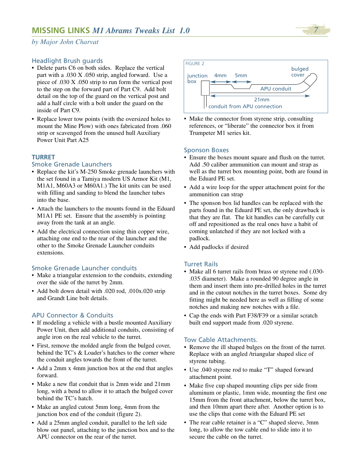

## Headlight Brush guards

- Delete parts C6 on both sides. Replace the vertical part with a .030 X .050 strip, angled forward. Use a piece of .030 X .050 strip to run form the vertical post to the step on the forward part of Part C9. Add bolt detail on the top of the guard on the vertical post and add a half circle with a bolt under the guard on the inside of Part C9.
- Replace lower tow points (with the oversized holes to mount the Mine Plow) with ones fabricated from .060 strip or scavenged from the unused hull Auxiliary Power Unit Part A25

#### **TURRET**

#### Smoke Grenade Launchers

- Replace the kit's M-250 Smoke grenade launchers with the set found in a Tamiya modern US Armor Kit (M1, M1A1, M60A3 or M60A1.) The kit units can be used with filling and sanding to blend the launcher tubes into the base.
- Attach the launchers to the mounts found in the Eduard M1A1 PE set. Ensure that the assembly is pointing away from the tank at an angle.
- Add the electrical connection using thin copper wire, attaching one end to the rear of the launcher and the other to the Smoke Grenade Launcher conduits extensions.

#### Smoke Grenade Launcher conduits

- Make a triangular extension to the conduits, extending over the side of the turret by 2mm.
- Add bolt down detail with .020 rod, .010x.020 strip and Grandt Line bolt details.

#### APU Connector & Conduits

- If modeling a vehicle with a bustle mounted Auxiliary Power Unit, then add additional conduits, consisting of angle iron on the real vehicle to the turret.
- First, remove the molded angle from the bulged cover, behind the TC's & Loader's hatches to the corner where the conduit angles towards the front of the turret.
- Add a 2mm x 4mm junction box at the end that angles forward.
- Make a new flat conduit that is 2mm wide and 21mm long, with a bend to allow it to attach the bulged cover behind the TC's hatch.
- Make an angled cutout 5mm long, 4mm from the junction box end of the conduit (figure 2).
- Add a 25mm angled conduit, parallel to the left side blow out panel, attaching to the junction box and to the APU connector on the rear of the turret.



• Make the connector from styrene strip, consulting references, or "liberate" the connector box it from Trumpeter M1 series kit.

#### Sponson Boxes

- Ensure the boxes mount square and flush on the turret. Add .50 caliber ammunition can mount and strap as well as the turret box mounting point, both are found in the Eduard PE set.
- Add a wire loop for the upper attachment point for the ammunition can strap
- The sponson box lid handles can be replaced with the parts found in the Eduard PE set, the only drawback is that they are flat. The kit handles can be carefully cut off and repositioned as the real ones have a habit of coming unlatched if they are not locked with a padlock.
- Add padlocks if desired

#### Turret Rails

- Make all 6 turret rails from brass or styrene rod (.030- .035 diameter). Make a rounded 90 degree angle in them and insert them into pre-drilled holes in the turret and in the cutout notches in the turret boxes. Some dry fitting might be needed here as well as filling of some notches and making new notches with a file.
- Cap the ends with Part F38/F39 or a similar scratch built end support made from .020 styrene.

#### Tow Cable Attachments.

- Remove the ill shaped bulges on the front of the turret. Replace with an angled /triangular shaped slice of styrene tubing.
- Use .040 styrene rod to make "T" shaped forward attachment point.
- Make five cup shaped mounting clips per side from aluminum or plastic, 1mm wide, mounting the first one 15mm from the front attachment, below the turret box, and then 10mm apart there after. Another option is to use the clips that come with the Eduard PE set
- The rear cable retainer is a "C" shaped sleeve, 3mm long, to allow the tow cable end to slide into it to secure the cable on the turret.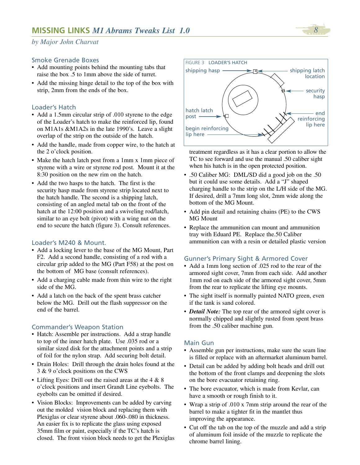#### Smoke Grenade Boxes

- Add mounting points behind the mounting tabs that raise the box .5 to 1mm above the side of turret.
- Add the missing hinge detail to the top of the box with strip, 2mm from the ends of the box.

#### Loader's Hatch

- Add a 1.5mm circular strip of .010 styrene to the edge of the Loader's hatch to make the reinforced lip, found on M1A1s &M1A2s in the late 1990's. Leave a slight overlap of the strip on the outside of the hatch.
- Add the handle, made from copper wire, to the hatch at the 2 o'clock position.
- Make the hatch latch post from a 1mm x 1mm piece of styrene with a wire or styrene rod post. Mount it at the 8:30 position on the new rim on the hatch.
- Add the two hasps to the hatch. The first is the security hasp made from styrene strip located next to the hatch handle. The second is a shipping latch, consisting of an angled metal tab on the front of the hatch at the 12:00 position and a swiveling rod/latch, similar to an eye bolt (pivot) with a wing nut on the end to secure the hatch (figure 3). Consult references.

#### Loader's M240 & Mount.

- Add a locking lever to the base of the MG Mount, Part F2. Add a second handle, consisting of a rod with a circular grip added to the MG (Part F58) at the post on the bottom of MG base (consult references).
- Add a charging cable made from thin wire to the right side of the MG.
- Add a latch on the back of the spent brass catcher below the MG. Drill out the flash suppressor on the end of the barrel.

#### Commander's Weapon Station

- Hatch: Assemble per instructions. Add a strap handle to top of the inner hatch plate. Use .035 rod or a similar sized disk for the attachment points and a strip of foil for the nylon strap. Add securing bolt detail.
- Drain Holes: Drill through the drain holes found at the 3 & 9 o'clock positions on the CWS
- Lifting Eyes: Drill out the raised areas at the 4 & 8 o'clock positions and insert Grandt Line eyebolts. The eyebolts can be omitted if desired.
- Vision Blocks: Improvements can be added by carving out the molded vision block and replacing them with Plexiglas or clear styrene about .060-.080 in thickness. An easier fix is to replicate the glass using exposed 35mm film or paint, especially if the TC's hatch is closed. The front vision block needs to get the Plexiglas



treatment regardless as it has a clear portion to allow the TC to see forward and use the manual .50 caliber sight when his hatch is in the open protected position.

- .50 Caliber MG: DML/SD did a good job on the .50 but it could use some details. Add a "J" shaped charging handle to the strip on the L/H side of the MG. If desired, drill a 7mm long slot, 2mm wide along the bottom of the MG Mount.
- Add pin detail and retaining chains (PE) to the CWS MG Mount
- Replace the ammunition can mount and ammunition tray with Eduard PE. Replace the.50 Caliber ammunition can with a resin or detailed plastic version

#### Gunner's Primary Sight & Armored Cover

- Add a 1mm long section of .025 rod to the rear of the armored sight cover, 7mm from each side. Add another 1mm rod on each side of the armored sight cover, 5mm from the rear to replicate the lifting eye mounts.
- The sight itself is normally painted NATO green, even if the tank is sand colored.
- *Detail Note:* The top rear of the armored sight cover is normally chipped and slightly rusted from spent brass from the .50 caliber machine gun.

#### Main Gun

- Assemble gun per instructions, make sure the seam line is filled or replace with an aftermarket aluminum barrel.
- Detail can be added by adding bolt heads and drill out the bottom of the front clamps and deepening the slots on the bore evacuator retaining ring.
- The bore evacuator, which is made from Kevlar, can have a smooth or rough finish to it.
- Wrap a strip of .010 x 7mm strip around the rear of the barrel to make a tighter fit in the mantlet thus improving the appearance.
- Cut off the tab on the top of the muzzle and add a strip of aluminum foil inside of the muzzle to replicate the chrome barrel lining.

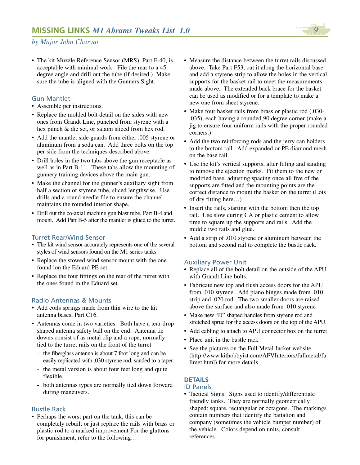

• The kit Muzzle Reference Sensor (MRS), Part F-40, is acceptable with minimal work. File the rear to a 45 degree angle and drill out the tube (if desired.) Make sure the tube is aligned with the Gunners Sight.

#### Gun Mantlet

- Assemble per instructions.
- Replace the molded bolt detail on the sides with new ones from Grandt Line, punched from styrene with a hex punch & die set, or salami sliced from hex rod.
- Add the mantlet side guards from either .005 styrene or aluminum from a soda can. Add three bolts on the top per side from the techniques described above.
- Drill holes in the two tabs above the gun receptacle as well as in Part B-11. These tabs allow the mounting of gunnery training devices above the main gun.
- Make the channel for the gunner's auxiliary sight from half a section of styrene tube, sliced lengthwise. Use drills and a round needle file to ensure the channel maintains the rounded interior shape.
- Drill out the co-axial machine gun blast tube, Part B-4 and mount. Add Part B-5 after the mantlet is glued to the turret.

#### Turret Rear/Wind Sensor

- The kit wind sensor accurately represents one of the several styles of wind sensors found on the M1 series tanks.
- Replace the stowed wind sensor mount with the one found ion the Eduard PE set.
- Replace the four fittings on the rear of the turret with the ones found in the Eduard set.

#### Radio Antennas & Mounts

- Add coils springs made from thin wire to the kit antenna bases, Part C16.
- Antennas come in two varieties. Both have a tear-drop shaped antenna safety ball on the end. Antenna tie downs consist of as metal clip and a rope, normally tied to the turret rails on the front of the turret
	- the fiberglass antenna is about 7 foot long and can be easily replicated with .030 styrene rod, sanded to a taper.
	- the metal version is about four feet long and quite flexible.
	- both antennas types are normally tied down forward during maneuvers.

#### Bustle Rack

• Perhaps the worst part on the tank, this can be completely rebuilt or just replace the rails with brass or plastic rod to a marked improvement For the gluttons for punishment, refer to the following…

- Measure the distance between the turret rails discussed above. Take Part F53, cut it along the horizontal base and add a styrene strip to allow the holes in the vertical supports for the basket rail to meet the measurements made above. The extended back brace for the basket can be used as modified or for a template to make a new one from sheet styrene.
- Make four basket rails from brass or plastic rod (.030- .035), each having a rounded 90 degree corner (make a jig to ensure four uniform rails with the proper rounded corners.)
- Add the two reinforcing rods and the jerry can holders to the bottom rail. Add expanded or PE diamond mesh on the base rail.
- Use the kit's vertical supports, after filling and sanding to remove the ejection marks. Fit them to the new or modified base, adjusting spacing once all five of the supports are fitted and the mounting points are the correct distance to mount the basket on the turret (Lots of dry fitting here…)
- Insert the rails, starting with the bottom then the top rail. Use slow curing CA or plastic cement to allow time to square up the supports and rails. Add the middle two rails and glue.
- Add a strip of .010 styrene or aluminum between the bottom and second rail to complete the bustle rack.

#### Auxiliary Power Unit

- Replace all of the bolt detail on the outside of the APU with Grandt Line bolts.
- Fabricate new top and flush access doors for the APU from .010 styrene. Add piano hinges made from .010 strip and .020 rod. The two smaller doors are raised above the surface and also made from .010 styrene
- Make new "D" shaped handles from styrene rod and stretched sprue for the access doors on the top of the APU.
- Add cabling to attach to APU connector box on the turret
- Place unit in the bustle rack
- See the pictures on the Full Metal Jacket website (http://www.kithobbyist.com/AFVInteriors/fullmetal/fu llmet.html) for more details

## **DETAILS**

#### ID Panels

• Tactical Signs. Signs used to identify/differentiate friendly tanks. They are normally geometrically shaped: square, rectangular or octagons. The markings contain numbers that identify the battalion and company (sometimes the vehicle bumper number) of the vehicle. Colors depend on units, consult references.

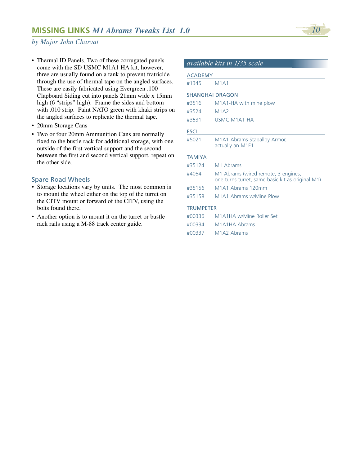

- Thermal ID Panels. Two of these corrugated panels come with the SD USMC M1A1 HA kit, however, three are usually found on a tank to prevent fratricide through the use of thermal tape on the angled surfaces. These are easily fabricated using Evergreen .100 Clapboard Siding cut into panels 21mm wide x 15mm high (6 "strips" high). Frame the sides and bottom with .010 strip. Paint NATO green with khaki strips on the angled surfaces to replicate the thermal tape.
- 20mm Storage Cans
- Two or four 20mm Ammunition Cans are normally fixed to the bustle rack for additional storage, with one outside of the first vertical support and the second between the first and second vertical support, repeat on the other side.

## Spare Road Wheels

- Storage locations vary by units. The most common is to mount the wheel either on the top of the turret on the CITV mount or forward of the CITV, using the bolts found there.
- Another option is to mount it on the turret or bustle rack rails using a M-88 track center guide.

|                  | available kits in 1/35 scale                                                            |
|------------------|-----------------------------------------------------------------------------------------|
| <b>ACADEMY</b>   |                                                                                         |
| #1345            | M1A1                                                                                    |
|                  | <b>SHANGHAI DRAGON</b>                                                                  |
| #3516            | M1A1-HA with mine plow                                                                  |
| #3524            | M1A2                                                                                    |
| #3531            | <b>USMC M1A1-HA</b>                                                                     |
| <b>ESCI</b>      |                                                                                         |
| #5021            | M1A1 Abrams Staballoy Armor,<br>actually an M1E1                                        |
| <b>TAMIYA</b>    |                                                                                         |
| #35124           | M1 Abrams                                                                               |
| #4054            | M1 Abrams (wired remote, 3 engines,<br>one turns turret, same basic kit as original M1) |
| #35156           | M1A1 Abrams 120mm                                                                       |
| #35158           | M1A1 Abrams w/Mine Plow                                                                 |
| <b>TRUMPETER</b> |                                                                                         |
| #00336           | M1A1HA w/Mine Roller Set                                                                |
| #00334           | M1A1HA Abrams                                                                           |
| #00337           | M <sub>1</sub> A <sub>2</sub> Abrams                                                    |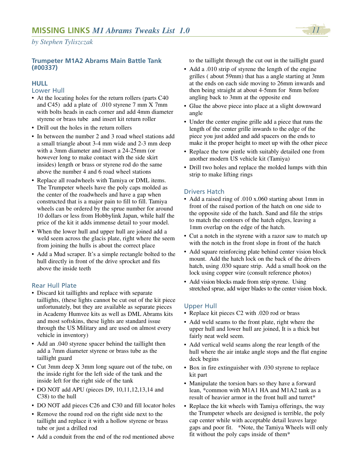#### **Trumpeter M1A2 Abrams Main Battle Tank (#00337)**

#### **HULL**

#### Lower Hull

- At the locating holes for the return rollers (parts C40 and C45) add a plate of .010 styrene 7 mm X 7mm with bolts heads in each corner and add 4mm diameter styrene or brass tube and insert kit return roller
- Drill out the holes in the return rollers
- In between the number 2 and 3 road wheel stations add a small triangle about 3-4 mm wide and 2-3 mm deep with a 3mm diameter and insert a 24-25mm (or however long to make contact with the side skirt insides) length or brass or styrene rod do the same above the number 4 and 6 road wheel stations
- Replace all roadwheels with Tamiya or DML items. The Trumpeter wheels have the poly caps molded as the center of the roadwheels and have a gap when constructed that is a major pain to fill to fill. Tamiya wheels can be ordered by the sprue number for around 10 dollars or less from Hobbylink Japan, while half the price of the kit it adds immense detail to your model.
- When the lower hull and upper hull are joined add a weld seem across the glacis plate, right where the seem from joining the hulls is about the correct place
- Add a Mud scraper. It's a simple rectangle bolted to the hull directly in front of the drive sprocket and fits above the inside teeth

# Rear Hull Plate

- Discard kit taillights and replace with separate taillights, (these lights cannot be cut out of the kit piece unfortunately, but they are available as separate pieces in Academy Humvee kits as well as DML Abrams kits and most softskins, these lights are standard issue through the US Military and are used on almost every vehicle in inventory)
- Add an .040 styrene spacer behind the taillight then add a 7mm diameter styrene or brass tube as the taillight guard
- Cut 3mm deep X 3mm long square out of the tube, on the inside right for the left side of the tank and the inside left for the right side of the tank
- DO NOT add APU (pieces D9, 10,11,12,13,14 and C38) to the hull
- DO NOT add pieces C26 and C30 and fill locator holes
- Remove the round rod on the right side next to the taillight and replace it with a hollow styrene or brass tube or just a drilled rod
- Add a conduit from the end of the rod mentioned above

to the taillight through the cut out in the taillight guard

- Add a .010 strip of styrene the length of the engine grilles ( about 59mm) that has a angle starting at 3mm at the ends on each side moving to 26mm inwards and then being straight at about 4-5mm for 8mm before angling back to 3mm at the opposite end
- Glue the above piece into place at a slight downward angle
- Under the center engine grille add a piece that runs the length of the center grille inwards to the edge of the piece you just added and add spacers on the ends to make it the proper height to meet up with the other piece
- Replace the tow pintle with suitably detailed one from another modern US vehicle kit (Tamiya)
- Drill two holes and replace the molded lumps with thin strip to make lifting rings

## Drivers Hatch

- Add a raised ring of .010 x.060 starting about 1mm in front of the raised portion of the hatch on one side to the opposite side of the hatch. Sand and file the strips to match the contours of the hatch edges, leaving a 1mm overlap on the edge of the hatch.
- Cut a notch in the styrene with a razor saw to match up with the notch in the front slope in front of the hatch
- Add square reinforcing plate behind center vision block mount. Add the hatch lock on the back of the drivers hatch, using .030 square strip. Add a small hook on the lock using copper wire (consult reference photos)
- Add vision blocks made from strip styrene. Using stretched sprue, add wiper blades to the center vision block.

# Upper Hull

- Replace kit pieces C2 with .020 rod or brass
- Add weld seams to the front plate, right where the upper hull and lower hull are joined, It is a thick but fairly neat weld seem.
- Add vertical weld seams along the rear length of the hull where the air intake angle stops and the flat engine deck begins
- Box in fire extinguisher with .030 styrene to replace kit part
- Manipulate the torsion bars so they have a forward lean, \*common with M1A1 HA and M1A2 tank as a result of heavier armor in the front hull and turret\*
- Replace the kit wheels with Tamiya offerings, the way the Trumpeter wheels are designed is terrible, the poly cap center while with acceptable detail leaves large gaps and poor fit. \*Note, the Tamiya Wheels will only fit without the poly caps inside of them\*

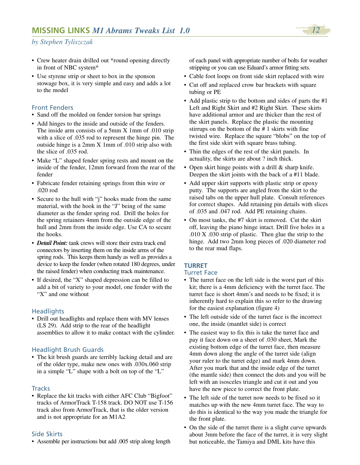- Crew heater drain drilled out \*round opening directly in front of NBC system\*
- Use styrene strip or sheet to box in the sponson stowage box, it is very simple and easy and adds a lot to the model

#### Front Fenders

- Sand off the molded on fender torsion bar springs
- Add hinges to the inside and outside of the fenders. The inside arm consists of a 5mm X 1mm of .010 strip with a slice of .035 rod to represent the hinge pin. The outside hinge is a 2mm X 1mm of .010 strip also with the slice of .035 rod.
- Make "L" shaped fender spring rests and mount on the inside of the fender, 12mm forward from the rear of the fender
- Fabricate fender retaining springs from thin wire or .020 rod
- Secure to the hull with "j" hooks made from the same material, with the hook in the "J" being of the same diameter as the fender spring rod. Drill the holes for the spring retainers 4mm from the outside edge of the hull and 2mm from the inside edge. Use CA to secure the hooks.
- *Detail Point:* tank crews will store their extra track end connectors by inserting them on the inside arms of the spring rods. This keeps them handy as well as provides a device to keep the fender (when rotated 180 degrees, under the raised fender) when conducting track maintenance.
- If desired, the "X" shaped depression can be filled to add a bit of variety to your model, one fender with the "X" and one without

#### **Headlights**

• Drill out headlights and replace them with MV lenses (LS 29). Add strip to the rear of the headlight assemblies to allow it to make contact with the cylinder.

#### Headlight Brush Guards

• The kit brush guards are terribly lacking detail and are of the older type, make new ones with .030x.060 strip in a simple "L" shape with a bolt on top of the "L"

#### **Tracks**

• Replace the kit tracks with either AFC Club "Bigfoot" tracks of ArmorTrack T-158 track. DO NOT use T-156 track also from ArmorTrack, that is the older version and is not appropriate for an M1A2

#### Side Skirts

• Assemble per instructions but add .005 strip along length

of each panel with appropriate number of bolts for weather stripping or you can use Eduard's armor fitting sets.

- Cable foot loops on front side skirt replaced with wire
- Cut off and replaced crow bar brackets with square tubing or PE
- Add plastic strip to the bottom and sides of parts the #1 Left and Right Skirt and #2 Right Skirt. These skirts have additional armor and are thicker than the rest of the skirt panels. Replace the plastic the mounting stirrups on the bottom of the # 1 skirts with fine twisted wire. Replace the square "blobs" on the top of the first side skirt with square brass tubing.
- Thin the edges of the rest of the skirt panels. In actuality, the skirts are about ? inch thick.
- Open skirt hinge points with a drill & sharp knife. Deepen the skirt joints with the back of a  $#11$  blade.
- Add upper skirt supports with plastic strip or epoxy putty. The supports are angled from the skirt to the raised tabs on the upper hull plate. Consult references for correct shapes. Add retaining pin details with slices of .035 and .047 rod. Add PE retaining chains.
- On most tanks, the #7 skirt is removed. Cut the skirt off, leaving the piano hinge intact. Drill five holes in a .010 X .030 strip of plastic. Then glue the strip to the hinge. Add two 2mm long pieces of .020 diameter rod to the rear mud flaps.

# **TURRET**

#### Turret Face

- The turret face on the left side is the worst part of this kit; there is a 4mm deficiency with the turret face. The turret face is short 4mm's and needs to be fixed; it is inherently hard to explain this so refer to the drawing for the easiest explanation (figure 4)
- The left outside side of the turret face is the incorrect one, the inside (mantlet side) is correct
- The easiest way to fix this is take the turret face and pay it face down on a sheet of .030 sheet, Mark the existing bottom edge of the turret face, then measure 4mm down along the angle of the turret side (align your ruler to the turret edge) and mark 4mm down. After you mark that and the inside edge of the turret (the mantle side) then connect the dots and you will be left with an isosceles triangle and cut it out and you have the new piece to correct the front plate.
- The left side of the turret now needs to be fixed so it matches up with the new 4mm turret face. The way to do this is identical to the way you made the triangle for the front plate.
- On the side of the turret there is a slight curve upwards about 3mm before the face of the turret, it is very slight but noticeable, the Tamiya and DML kits have this

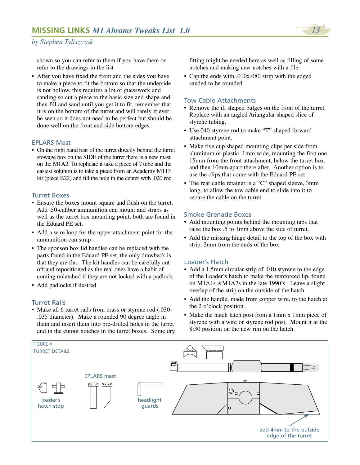

shown so you can refer to them if you have them or refer to the drawings in the list

• After you have fixed the front and the sides you have to make a piece to fit the bottom so that the underside is not hollow, this requires a lot of guesswork and sanding so cut a piece to the basic size and shape and then fill and sand until you get it to fit, remember that it is on the bottom of the turret and will rarely if ever be seen so it does not need to be perfect but should be done well on the front and side bottom edges.

#### EPLARS Mast

• On the right hand rear of the turret directly behind the turret stowage box on the SIDE of the turret there is a new mast on the M1A2. To replicate it take a piece of ? tube and the easiest solution is to take a piece from an Academy M113 kit (piece B22) and fill the hole in the center with .020 rod

#### Turret Boxes

- Ensure the boxes mount square and flush on the turret. Add .50-caliber ammunition can mount and straps as well as the turret box mounting point, both are found in the Eduard PE set.
- Add a wire loop for the upper attachment point for the ammunition can strap
- The sponson box lid handles can be replaced with the parts found in the Eduard PE set, the only drawback is that they are flat. The kit handles can be carefully cut off and repositioned as the real ones have a habit of coming unlatched if they are not locked with a padlock.
- Add padlocks if desired

#### Turret Rails

• Make all 6 turret rails from brass or styrene rod (.030- .035 diameter). Make a rounded 90 degree angle in them and insert them into pre-drilled holes in the turret and in the cutout notches in the turret boxes. Some dry fitting might be needed here as well as filling of some notches and making new notches with a file.

• Cap the ends with .010x.080 strip with the edged sanded to be rounded

#### Tow Cable Attachments

- Remove the ill shaped bulges on the front of the turret. Replace with an angled /triangular shaped slice of styrene tubing.
- Use.040 styrene rod to make "T" shaped forward attachment point.
- Make five cup shaped mounting clips per side from aluminum or plastic, 1mm wide, mounting the first one 15mm from the front attachment, below the turret box, and then 10mm apart there after. Another option is to use the clips that come with the Eduard PE set
- The rear cable retainer is a "C" shaped sleeve, 3mm long, to allow the tow cable end to slide into it to secure the cable on the turret.

#### Smoke Grenade Boxes

- Add mounting points behind the mounting tabs that raise the box .5 to 1mm above the side of turret.
- Add the missing hinge detail to the top of the box with strip, 2mm from the ends of the box.

#### Loader's Hatch

- Add a 1.5mm circular strip of .010 styrene to the edge of the Loader's hatch to make the reinforced lip, found on M1A1s &M1A2s in the late 1990's. Leave a slight overlap of the strip on the outside of the hatch.
- Add the handle, made from copper wire, to the hatch at the 2 o'clock position.
- Make the hatch latch post from a 1mm x 1mm piece of styrene with a wire or styrene rod post. Mount it at the 8:30 position on the new rim on the hatch.

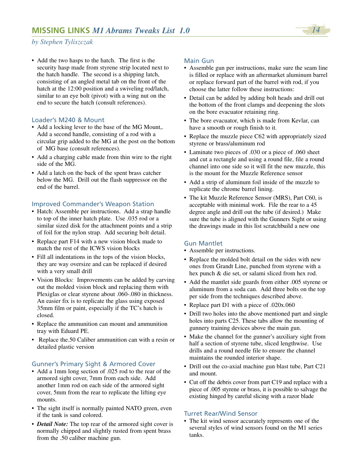

• Add the two hasps to the hatch. The first is the security hasp made from styrene strip located next to the hatch handle. The second is a shipping latch, consisting of an angled metal tab on the front of the hatch at the 12:00 position and a swiveling rod/latch, similar to an eye bolt (pivot) with a wing nut on the end to secure the hatch (consult references).

#### Loader's M240 & Mount

- Add a locking lever to the base of the MG Mount,. Add a second handle, consisting of a rod with a circular grip added to the MG at the post on the bottom of MG base (consult references).
- Add a charging cable made from thin wire to the right side of the MG.
- Add a latch on the back of the spent brass catcher below the MG. Drill out the flash suppressor on the end of the barrel.

#### Improved Commander's Weapon Station

- Hatch: Assemble per instructions. Add a strap handle to top of the inner hatch plate. Use .035 rod or a similar sized disk for the attachment points and a strip of foil for the nylon strap. Add securing bolt detail.
- Replace part F14 with a new vision block made to match the rest of the ICWS vision blocks
- Fill all indentations in the tops of the vision blocks, they are way oversize and can be replaced if desired with a very small drill
- Vision Blocks: Improvements can be added by carving out the molded vision block and replacing them with Plexiglas or clear styrene about .060-.080 in thickness. An easier fix is to replicate the glass using exposed 35mm film or paint, especially if the TC's hatch is closed.
- Replace the ammunition can mount and ammunition tray with Eduard PE.
- Replace the.50 Caliber ammunition can with a resin or detailed plastic version

#### Gunner's Primary Sight & Armored Cover

- Add a 1mm long section of .025 rod to the rear of the armored sight cover, 7mm from each side. Add another 1mm rod on each side of the armored sight cover, 5mm from the rear to replicate the lifting eye mounts.
- The sight itself is normally painted NATO green, even if the tank is sand colored.
- *Detail Note:* The top rear of the armored sight cover is normally chipped and slightly rusted from spent brass from the .50 caliber machine gun.

#### Main Gun

- Assemble gun per instructions, make sure the seam line is filled or replace with an aftermarket aluminum barrel or replace forward part of the barrel with rod, if you choose the latter follow these instructions:
- Detail can be added by adding bolt heads and drill out the bottom of the front clamps and deepening the slots on the bore evacuator retaining ring.
- The bore evacuator, which is made from Kevlar, can have a smooth or rough finish to it.
- Replace the muzzle piece C62 with appropriately sized styrene or brass/aluminum rod
- Laminate two pieces of .030 or a piece of .060 sheet and cut a rectangle and using a round file, file a round channel into one side so it will fit the new muzzle, this is the mount for the Muzzle Reference sensor
- Add a strip of aluminum foil inside of the muzzle to replicate the chrome barrel lining.
- The kit Muzzle Reference Sensor (MRS), Part C60, is acceptable with minimal work. File the rear to a 45 degree angle and drill out the tube (if desired.) Make sure the tube is aligned with the Gunners Sight or using the drawings made in this list scratchbuild a new one

#### Gun Mantlet

- Assemble per instructions.
- Replace the molded bolt detail on the sides with new ones from Grandt Line, punched from styrene with a hex punch & die set, or salami sliced from hex rod.
- Add the mantlet side guards from either .005 styrene or aluminum from a soda can. Add three bolts on the top per side from the techniques described above.
- Replace part D1 with a piece of .020x.060
- Drill two holes into the above mentioned part and single holes into parts C25. These tabs allow the mounting of gunnery training devices above the main gun.
- Make the channel for the gunner's auxiliary sight from half a section of styrene tube, sliced lengthwise. Use drills and a round needle file to ensure the channel maintains the rounded interior shape.
- Drill out the co-axial machine gun blast tube, Part C21 and mount.
- Cut off the debris cover from part C19 and replace with a piece of .005 styrene or brass, it is possible to salvage the existing hinged by careful slicing with a razor blade

# Turret Rear/Wind Sensor

• The kit wind sensor accurately represents one of the several styles of wind sensors found on the M1 series tanks.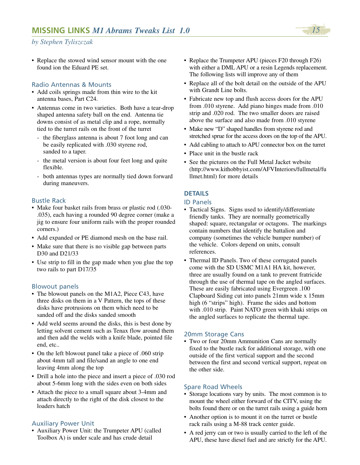• Replace the stowed wind sensor mount with the one found ion the Eduard PE set.

## Radio Antennas & Mounts

- Add coils springs made from thin wire to the kit antenna bases, Part C24.
- Antennas come in two varieties. Both have a tear-drop shaped antenna safety ball on the end. Antenna tie downs consist of as metal clip and a rope, normally tied to the turret rails on the front of the turret
	- the fiberglass antenna is about 7 foot long and can be easily replicated with .030 styrene rod, sanded to a taper.
	- the metal version is about four feet long and quite flexible.
	- both antennas types are normally tied down forward during maneuvers.

## Bustle Rack

- Make four basket rails from brass or plastic rod (.030- .035), each having a rounded 90 degree corner (make a jig to ensure four uniform rails with the proper rounded corners.)
- Add expanded or PE diamond mesh on the base rail.
- Make sure that there is no visible gap between parts D30 and D21/33
- Use strip to fill in the gap made when you glue the top two rails to part D17/35

#### Blowout panels

- The blowout panels on the M1A2, Piece C43, have three disks on them in a V Pattern, the tops of these disks have protrusions on them which need to be sanded off and the disks sanded smooth
- Add weld seems around the disks, this is best done by letting solvent cement such as Tenax flow around them and then add the welds with a knife blade, pointed file end, etc..
- On the left blowout panel take a piece of .060 strip about 4mm tall and file/sand an angle to one end leaving 4mm along the top
- Drill a hole into the piece and insert a piece of .030 rod about 5-6mm long with the sides even on both sides
- Attach the piece to a small square about 3-4mm and attach directly to the right of the disk closest to the loaders hatch

#### Auxiliary Power Unit

• Auxiliary Power Unit: the Trumpeter APU (called Toolbox A) is under scale and has crude detail

- Replace the Trumpeter APU (pieces F20 through F26) with either a DML APU or a resin Legends replacement. The following lists will improve any of them
- Replace all of the bolt detail on the outside of the APU with Grandt Line bolts.
- Fabricate new top and flush access doors for the APU from .010 styrene. Add piano hinges made from .010 strip and .020 rod. The two smaller doors are raised above the surface and also made from .010 styrene
- Make new "D" shaped handles from styrene rod and stretched sprue for the access doors on the top of the APU.
- Add cabling to attach to APU connector box on the turret
- Place unit in the bustle rack
- See the pictures on the Full Metal Jacket website (http://www.kithobbyist.com/AFVInteriors/fullmetal/fu llmet.html) for more details

## **DETAILS**

#### ID Panels

- Tactical Signs. Signs used to identify/differentiate friendly tanks. They are normally geometrically shaped: square, rectangular or octagons. The markings contain numbers that identify the battalion and company (sometimes the vehicle bumper number) of the vehicle. Colors depend on units, consult references.
- Thermal ID Panels. Two of these corrugated panels come with the SD USMC M1A1 HA kit, however, three are usually found on a tank to prevent fratricide through the use of thermal tape on the angled surfaces. These are easily fabricated using Evergreen .100 Clapboard Siding cut into panels 21mm wide x 15mm high (6 "strips" high). Frame the sides and bottom with .010 strip. Paint NATO green with khaki strips on the angled surfaces to replicate the thermal tape.

#### 20mm Storage Cans

• Two or four 20mm Ammunition Cans are normally fixed to the bustle rack for additional storage, with one outside of the first vertical support and the second between the first and second vertical support, repeat on the other side.

#### Spare Road Wheels

- Storage locations vary by units. The most common is to mount the wheel either forward of the CITV, using the bolts found there or on the turret rails using a guide horn
- Another option is to mount it on the turret or bustle rack rails using a M-88 track center guide.
- A red jerry can or two is usually carried to the left of the APU, these have diesel fuel and are strictly for the APU.

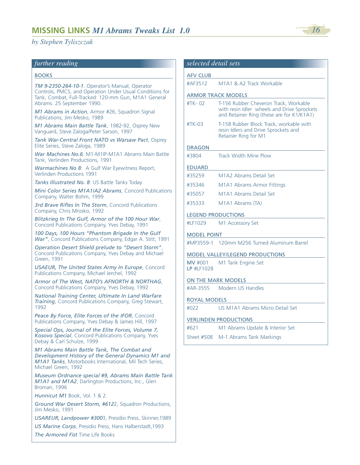#### *further reading*

#### BOOKS

*TM 9-2350-264-10-1*. Operator's Manual, Operator Controls, PMCS, and Operation Under Usual Conditions for Tank, Combat, Full-Tracked: 120-mm Gun, M1A1 General Abrams. 25 September 1990.

*M1 Abrams in Action*, Armor #26, Squadron Signal Publications, Jim Mesko, 1989

*M1 Abrams Main Battle Tank*, 1982-92, Osprey New Vanguard, Steve Zaloga/Peter Sarson, 1997

*Tank War-Central Front NATO vs Warsaw Pact*, Osprey Elite Series, Steve Zaloga, 1989

*War Machines No.6*: M1-M1IP-M1A1 Abrams Main Battle Tank, Verlinden Productions, 1991

*Warmachines No 8*: A Gulf War Eyewitness Report, Verlinden Productions 1991

*Tanks Illustrated No. 8*: US Battle Tanks Today

*Mini Color Series M1A1/A2 Abrams*, Concord Publications Company, Walter Bohm, 1999

*3rd Brave Rifles In The Storm*, Concord Publications Company, Chris Mrosko, 1992

*Blitzkrieg In The Gulf, Armor of the 100 Hour War*, Concord Publications Company, Yves Debay, 1991

*100 Days, 100 Hours "Phantom Brigade In the Gulf War"*, Concord Publications Company, Edgar A. Stitt, 1991

*Operation Desert Shield prelude to "Desert Storm"*, Concord Publications Company, Yves Debay and Michael Green, 1991

*USAEUR, The United States Army In Europe*, Concord Publications Company, Michael Jerchel, 1992

*Armor of The West, NATO's AFNORTH & NORTHAG*, Concord Publications Company, Yves Debay, 1992

*National Training Center, Ultimate In Land Warfare Training*, Concord Publications Company, Greg Stewart, 1992

*Peace By Force, Elite Forces of the IFOR*, Concord Publications Company, Yves Debay & James Hill, 1997

*Special Ops, Journal of the Elite Forces, Volume 7, Kosovo Special*, Concord Publications Company, Yves Debay & Carl Schulze, 1999

*M1 Abrams Main Battle Tank, The Combat and Development History of the General Dynamics M1 and M1A1 Tanks*, Motorbooks International, Mil Tech Series, Michael Green, 1992

*Museum Ordnance special #9, Abrams Main Battle Tank M1A1 and M1A2*, Darlington Productions, Inc., Glen Broman, 1996

*Hunnicut M1* Book, Vol. 1 & 2.

*Ground War Desert Storm, #612*2, Squadron Productions, Jim Mesko, 1991

*USAREUR, Landpower #300*3, Presidio Press, Skinner,1989

*US Marine Corps*, Presidio Press, Hans Halberstadt,1993 *The Armored Fist* Time Life Books

| <b>AFV CLUB</b>           |                                                                                                                                   |
|---------------------------|-----------------------------------------------------------------------------------------------------------------------------------|
| #AF3512                   | M1A1 & A2 Track Workable                                                                                                          |
|                           | <b>ARMOR TRACK MODELS</b>                                                                                                         |
| #TK-02                    | T-156 Rubber Cheveron Track, Workable<br>with resin Idler wheels and Drive Sprockets<br>and Retainer Ring (these are for K1/K1A1) |
| #TK-03                    | T-158 Rubber Block Track, workable with<br>resin Idlers and Drive Sprockets and<br>Retainer Ring for M1                           |
| <b>DRAGON</b>             |                                                                                                                                   |
| #3804                     | Track Width Mine Plow                                                                                                             |
| <b>EDUARD</b>             |                                                                                                                                   |
| #35259                    | M1A2 Abrams Detail Set                                                                                                            |
| #35346                    | M1A1 Abrams Armor Fittings                                                                                                        |
| #35057                    | M1A1 Abrams Detail Set                                                                                                            |
| #35333                    | M <sub>1</sub> A <sub>1</sub> Abrams (TA)                                                                                         |
| <b>LEGEND PRODUCTIONS</b> |                                                                                                                                   |
| #LF1029                   | M1 Accessory Set                                                                                                                  |
| <b>MODEL POINT</b>        |                                                                                                                                   |
|                           | #MP3559-1 120mm M256 Turned Aluminum Barrel                                                                                       |
|                           | <b>MODEL VALLEY/LEGEND PRODUCTIONS</b>                                                                                            |
| MV #001<br>LP #LF1028     | M1 Tank Engine Set                                                                                                                |
|                           | <b>ON THE MARK MODELS</b>                                                                                                         |
| #AR-3555                  | Modern US Handles                                                                                                                 |
| <b>ROYAL MODELS</b>       |                                                                                                                                   |
| #022                      | US M1A1 Abrams Micro Detail Set                                                                                                   |
|                           | <b>VERLINDEN PRODUCTIONS</b>                                                                                                      |
| #621                      | M1 Abrams Update & Interior Set                                                                                                   |
|                           | Sheet #508 M-1 Abrams Tank Markings                                                                                               |

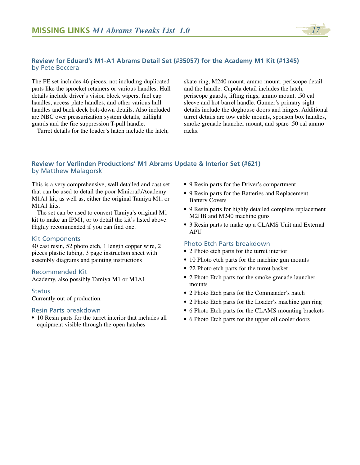

#### **Review for Eduard's M1-A1 Abrams Detail Set (#35057) for the Academy M1 Kit (#1345)**  by Pete Beccera

The PE set includes 46 pieces, not including duplicated parts like the sprocket retainers or various handles. Hull details include driver's vision block wipers, fuel cap handles, access plate handles, and other various hull handles and back deck bolt-down details. Also included are NBC over pressurization system details, taillight guards and the fire suppression T-pull handle.

Turret details for the loader's hatch include the latch,

skate ring, M240 mount, ammo mount, periscope detail and the handle. Cupola detail includes the latch, periscope guards, lifting rings, ammo mount, .50 cal sleeve and hot barrel handle. Gunner's primary sight details include the doghouse doors and hinges. Additional turret details are tow cable mounts, sponson box handles, smoke grenade launcher mount, and spare .50 cal ammo racks.

## **Review for Verlinden Productions' M1 Abrams Update & Interior Set (#621)**  by Matthew Malagorski

This is a very comprehensive, well detailed and cast set that can be used to detail the poor Minicraft/Academy M1A1 kit, as well as, either the original Tamiya M1, or M1A1 kits.

The set can be used to convert Tamiya's original M1 kit to make an IPM1, or to detail the kit's listed above. Highly recommended if you can find one.

#### Kit Components

40 cast resin, 52 photo etch, 1 length copper wire, 2 pieces plastic tubing, 3 page instruction sheet with assembly diagrams and painting instructions

#### Recommended Kit

Academy, also possibly Tamiya M1 or M1A1

#### **Status**

Currently out of production.

#### Resin Parts breakdown

*•* 10 Resin parts for the turret interior that includes all equipment visible through the open hatches

- *•* 9 Resin parts for the Driver's compartment
- *•* 9 Resin parts for the Batteries and Replacement Battery Covers
- *•* 9 Resin parts for highly detailed complete replacement M2HB and M240 machine guns
- *•* 3 Resin parts to make up a CLAMS Unit and External **APU**

#### Photo Etch Parts breakdown

- *•* 2 Photo etch parts for the turret interior
- 10 Photo etch parts for the machine gun mounts
- *•* 22 Photo etch parts for the turret basket
- *•* 2 Photo Etch parts for the smoke grenade launcher mounts
- *•* 2 Photo Etch parts for the Commander's hatch
- *•* 2 Photo Etch parts for the Loader's machine gun ring
- *•* 6 Photo Etch parts for the CLAMS mounting brackets
- *•* 6 Photo Etch parts for the upper oil cooler doors